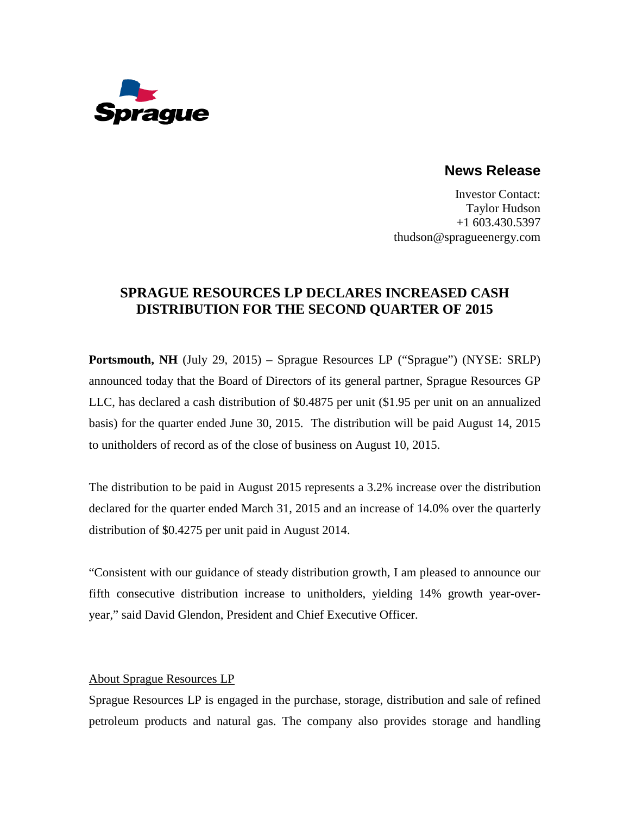

**News Release**

Investor Contact: Taylor Hudson +1 603.430.5397 thudson@spragueenergy.com

## **SPRAGUE RESOURCES LP DECLARES INCREASED CASH DISTRIBUTION FOR THE SECOND QUARTER OF 2015**

**Portsmouth, NH** (July 29, 2015) – Sprague Resources LP ("Sprague") (NYSE: SRLP) announced today that the Board of Directors of its general partner, Sprague Resources GP LLC, has declared a cash distribution of \$0.4875 per unit (\$1.95 per unit on an annualized basis) for the quarter ended June 30, 2015. The distribution will be paid August 14, 2015 to unitholders of record as of the close of business on August 10, 2015.

The distribution to be paid in August 2015 represents a 3.2% increase over the distribution declared for the quarter ended March 31, 2015 and an increase of 14.0% over the quarterly distribution of \$0.4275 per unit paid in August 2014.

"Consistent with our guidance of steady distribution growth, I am pleased to announce our fifth consecutive distribution increase to unitholders, yielding 14% growth year-overyear," said David Glendon, President and Chief Executive Officer.

## About Sprague Resources LP

Sprague Resources LP is engaged in the purchase, storage, distribution and sale of refined petroleum products and natural gas. The company also provides storage and handling